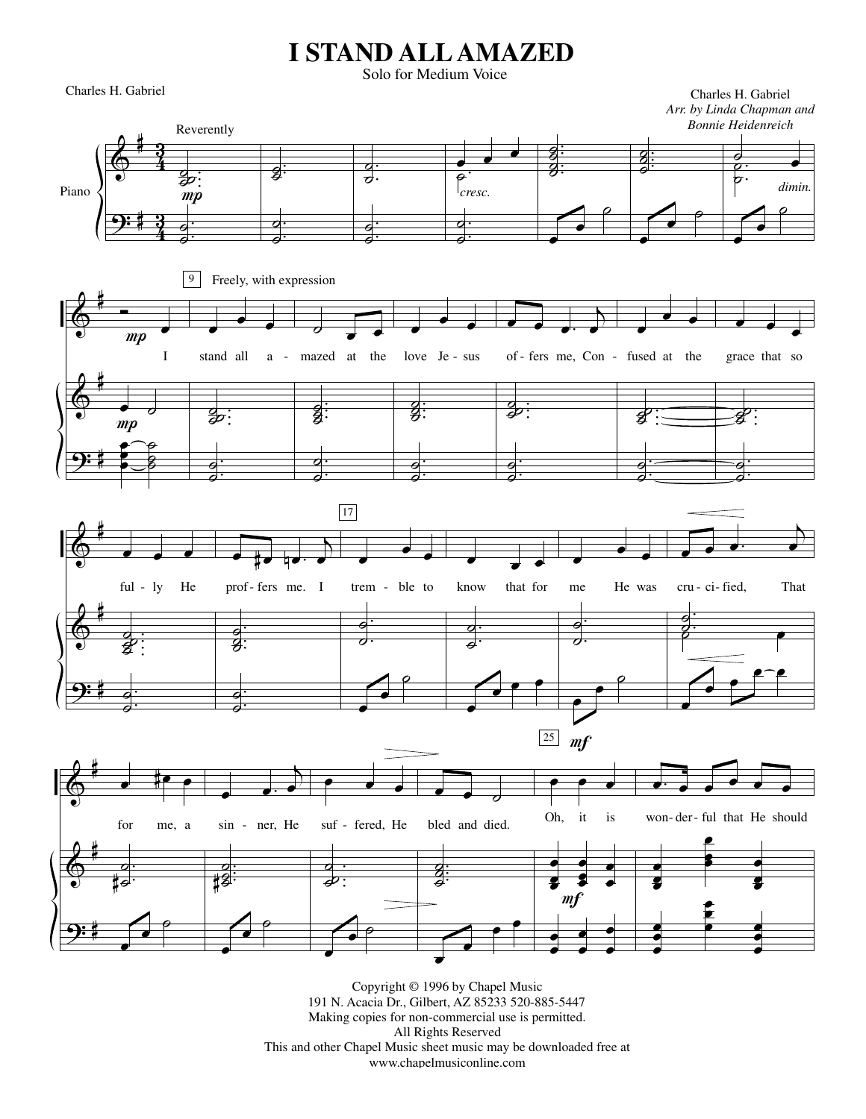## **I STAND ALL AMAZED**

Solo for Medium Voice

Charles H. Gabriel Charles H. Gabriel

*Arr. by Linda Chapman and*



Copyright © 1996 by Chapel Music 191 N. Acacia Dr., Gilbert, AZ 85233 520-885-5447 Making copies for non-commercial use is permitted. All Rights Reserved This and other Chapel Music sheet music may be downloaded free at www.chapelmusiconline.com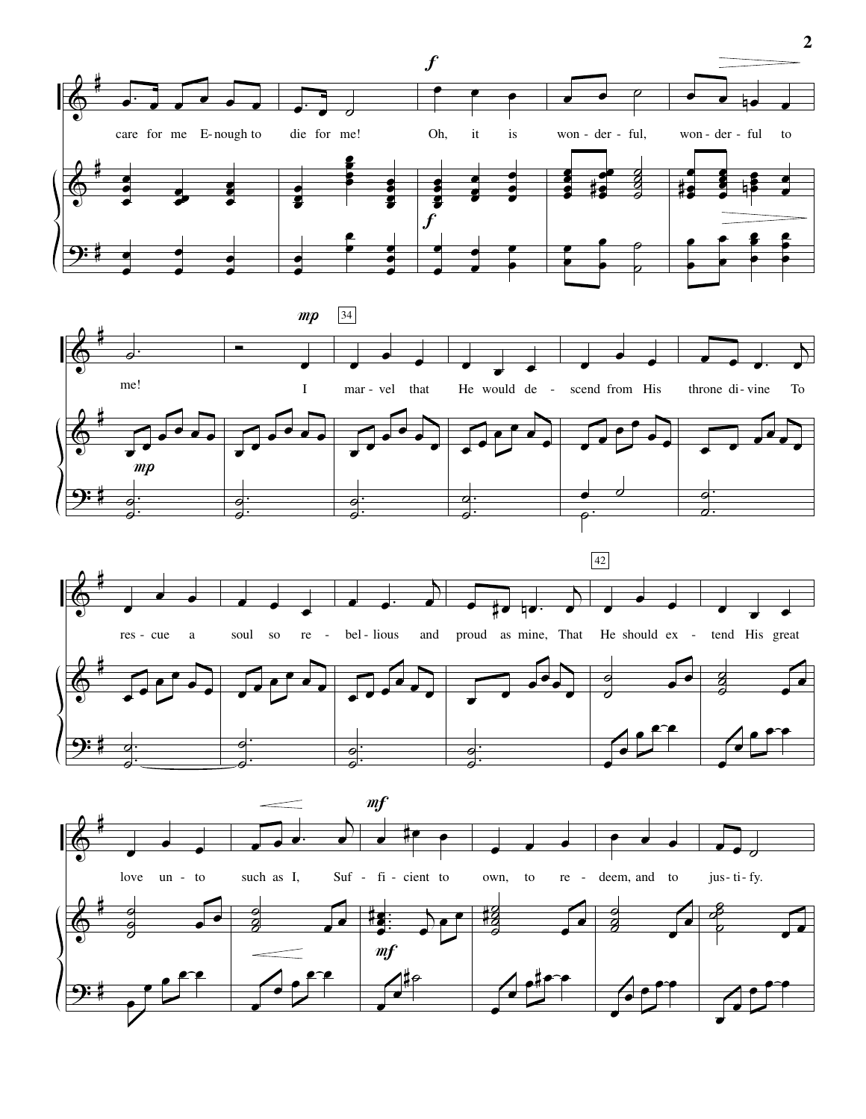







 $\overline{2}$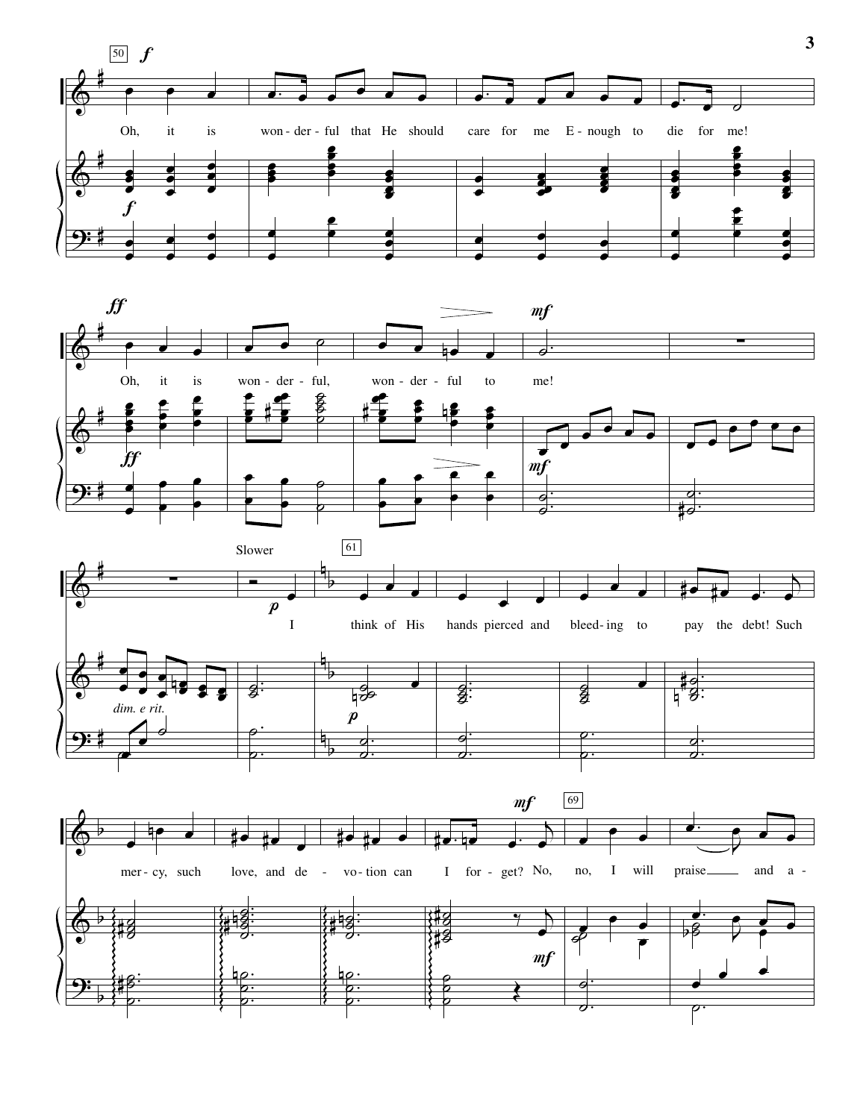